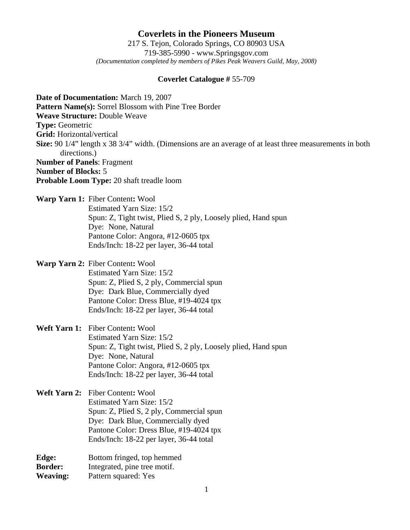## **Coverlets in the Pioneers Museum** 217 S. Tejon, Colorado Springs, CO 80903 USA 719-385-5990 - www.Springsgov.com *(Documentation completed by members of Pikes Peak Weavers Guild, May, 2008)*

## **Coverlet Catalogue #** 55-709

**Date of Documentation:** March 19, 2007 **Pattern Name(s):** Sorrel Blossom with Pine Tree Border **Weave Structure:** Double Weave **Type:** Geometric **Grid:** Horizontal/vertical **Size:** 90 1/4" length x 38 3/4" width. (Dimensions are an average of at least three measurements in both directions.) **Number of Panels**: Fragment **Number of Blocks:** 5 **Probable Loom Type:** 20 shaft treadle loom

- **Warp Yarn 1:** Fiber Content**:** Wool Estimated Yarn Size: 15/2 Spun: Z, Tight twist, Plied S, 2 ply, Loosely plied, Hand spun Dye: None, Natural Pantone Color: Angora, #12-0605 tpx Ends/Inch: 18-22 per layer, 36-44 total
- **Warp Yarn 2:** Fiber Content**:** Wool Estimated Yarn Size: 15/2 Spun: Z, Plied S, 2 ply, Commercial spun Dye: Dark Blue, Commercially dyed Pantone Color: Dress Blue, #19-4024 tpx Ends/Inch: 18-22 per layer, 36-44 total

**Weft Yarn 1:** Fiber Content**:** Wool Estimated Yarn Size: 15/2 Spun: Z, Tight twist, Plied S, 2 ply, Loosely plied, Hand spun Dye: None, Natural Pantone Color: Angora, #12-0605 tpx Ends/Inch: 18-22 per layer, 36-44 total

**Weft Yarn 2:** Fiber Content**:** Wool Estimated Yarn Size: 15/2 Spun: Z, Plied S, 2 ply, Commercial spun Dye: Dark Blue, Commercially dyed Pantone Color: Dress Blue, #19-4024 tpx Ends/Inch: 18-22 per layer, 36-44 total

**Edge:** Bottom fringed, top hemmed **Border:** Integrated, pine tree motif. **Weaving:** Pattern squared: Yes